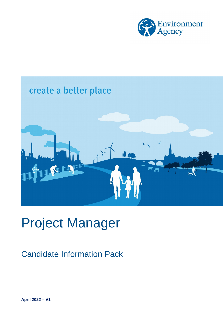



# Project Manager

## Candidate Information Pack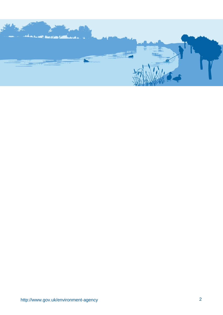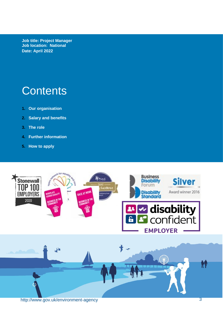**Job title: Project Manager Job location: National Date: April 2022**

## **Contents**

- **1. Our organisation**
- **2. Salary and benefits**
- **3. The role**
- **4. Further information**
- **5. How to apply**



http://www.gov.uk/environment-agency 33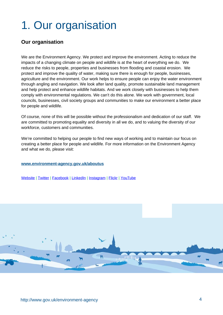# 1. Our organisation

### **Our organisation**

We are the Environment Agency. We protect and improve the environment. Acting to reduce the impacts of a changing climate on people and wildlife is at the heart of everything we do. We reduce the risks to people, properties and businesses from flooding and coastal erosion. We protect and improve the quality of water, making sure there is enough for people, businesses, agriculture and the environment. Our work helps to ensure people can enjoy the water environment through angling and navigation. We look after land quality, promote sustainable land management and help protect and enhance wildlife habitats. And we work closely with businesses to help them comply with environmental regulations. We can't do this alone. We work with government, local councils, businesses, civil society groups and communities to make our environment a better place for people and wildlife.

Of course, none of this will be possible without the professionalism and dedication of our staff. We are committed to promoting equality and diversity in all we do, and to valuing the diversity of our workforce, customers and communities.

We're committed to helping our people to find new ways of working and to maintain our focus on creating a better place for people and wildlife. For more information on the Environment Agency and what we do, please visit:

### **[www.environment-agency.gov.uk/aboutus](http://www.environment-agency.gov.uk/aboutus)**

[Website](http://www.gov.uk/environment-agency) | [Twitter](https://twitter.com/envagency) | [Facebook](https://www.facebook.com/environmentagency) | [LinkedIn](https://www.linkedin.com/company/environment-agency) | [Instagram](https://www.instagram.com/envagency) | [Flickr](https://www.flickr.com/photos/environment-agency) | [YouTube](http://www.youtube.co.uk/user/EnvironmentAgencyTV)

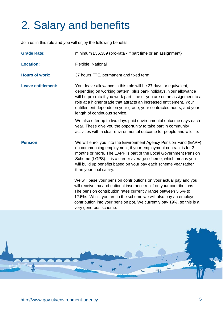# 2. Salary and benefits

Join us in this role and you will enjoy the following benefits:

| <b>Grade Rate:</b>        | minimum £36,389 (pro-rata - if part time or an assignment)                                                                                                                                                                                                                                                                                                                                    |
|---------------------------|-----------------------------------------------------------------------------------------------------------------------------------------------------------------------------------------------------------------------------------------------------------------------------------------------------------------------------------------------------------------------------------------------|
| <b>Location:</b>          | Flexible, National                                                                                                                                                                                                                                                                                                                                                                            |
| <b>Hours of work:</b>     | 37 hours FTE, permanent and fixed term                                                                                                                                                                                                                                                                                                                                                        |
| <b>Leave entitlement:</b> | Your leave allowance in this role will be 27 days or equivalent,<br>depending on working pattern, plus bank holidays. Your allowance<br>will be pro-rata if you work part time or you are on an assignment to a<br>role at a higher grade that attracts an increased entitlement. Your<br>entitlement depends on your grade, your contracted hours, and your<br>length of continuous service. |
|                           | We also offer up to two days paid environmental outcome days each<br>year. These give you the opportunity to take part in community<br>activities with a clear environmental outcome for people and wildlife.                                                                                                                                                                                 |
| <b>Pension:</b>           | We will enrol you into the Environment Agency Pension Fund (EAPF)<br>on commencing employment, if your employment contract is for 3<br>months or more. The EAPF is part of the Local Government Pension<br>Scheme (LGPS). It is a career average scheme, which means you<br>will build up benefits based on your pay each scheme year rather<br>than your final salary.                       |
|                           | We will base your pension contributions on your actual pay and you<br>will receive tax and national insurance relief on your contributions.<br>The pension contribution rates currently range between 5.5% to<br>12.5%. Whilst you are in the scheme we will also pay an employer<br>contribution into your pension pot. We currently pay 19%, so this is a<br>very generous scheme.          |

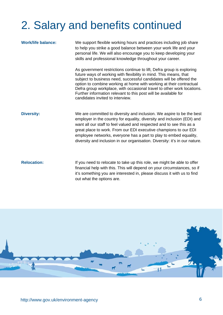# 2. Salary and benefits continued

| <b>Work/life balance:</b> | We support flexible working hours and practices including job share<br>to help you strike a good balance between your work life and your<br>personal life. We will also encourage you to keep developing your<br>skills and professional knowledge throughout your career.                                                                                                                                                                                                |
|---------------------------|---------------------------------------------------------------------------------------------------------------------------------------------------------------------------------------------------------------------------------------------------------------------------------------------------------------------------------------------------------------------------------------------------------------------------------------------------------------------------|
|                           | As government restrictions continue to lift, Defra group is exploring<br>future ways of working with flexibility in mind. This means, that<br>subject to business need, successful candidates will be offered the<br>option to combine working at home with working at their contractual<br>Defra group workplace, with occasional travel to other work locations.<br>Further information relevant to this post will be available for<br>candidates invited to interview. |
| <b>Diversity:</b>         | We are committed to diversity and inclusion. We aspire to be the best<br>employer in the country for equality, diversity and inclusion (EDI) and<br>want all our staff to feel valued and respected and to see this as a<br>great place to work. From our EDI executive champions to our EDI<br>employee networks, everyone has a part to play to embed equality,<br>diversity and inclusion in our organisation. Diversity: it's in our nature.                          |
| <b>Relocation:</b>        | If you need to relocate to take up this role, we might be able to offer                                                                                                                                                                                                                                                                                                                                                                                                   |

financial help with this. This will depend on your circumstances, so if it's something you are interested in, please discuss it with us to find out what the options are.

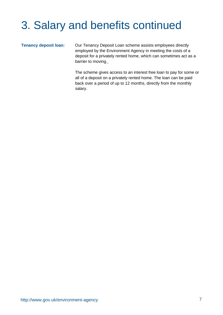# 3. Salary and benefits continued

**Tenancy deposit loan:** Our Tenancy Deposit Loan scheme assists employees directly employed by the Environment Agency in meeting the costs of a deposit for a privately rented home, which can sometimes act as a barrier to moving.

> The scheme gives access to an interest free loan to pay for some or all of a deposit on a privately rented home. The loan can be paid back over a period of up to 12 months, directly from the monthly salary.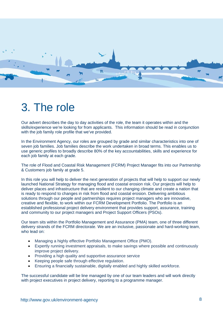

## 3. The role

Our advert describes the day to day activities of the role, the team it operates within and the skills/experience we're looking for from applicants. This information should be read in conjunction with the job family role profile that we've provided.

In the Environment Agency, our roles are grouped by grade and similar characteristics into one of seven job families. Job families describe the work undertaken in broad terms. This enables us to use generic profiles to broadly describe 80% of the key accountabilities, skills and experience for each job family at each grade.

The role of Flood and Coastal Risk Management (FCRM) Project Manager fits into our Partnership & Customers job family at grade 5.

In this role you will help to deliver the next generation of projects that will help to support our newly launched National Strategy for managing flood and coastal erosion risk. Our projects will help to deliver places and infrastructure that are resilient to our changing climate and create a nation that is ready to respond to changes in risk from flood and coastal erosion. Delivering ambitious solutions through our people and partnerships requires project managers who are innovative, creative and flexible, to work within our FCRM Development Portfolio. The Portfolio is an established professional project delivery environment that provides support, assurance, training and community to our project managers and Project Support Officers (PSOs).

Our team sits within the Portfolio Management and Assurance (PMA) team, one of three different delivery strands of the FCRM directorate. We are an inclusive, passionate and hard-working team, who lead on:

- Managing a highly effective Portfolio Management Office (PMO).
- Expertly running investment appraisals, to make savings where possible and continuously improve project delivery.
- Providing a high quality and supportive assurance service
- Keeping people safe through effective regulation.
- Ensuring a financially sustainable, digitally enabled and highly skilled workforce.

The successful candidate will be line managed by one of our team leaders and will work directly with project executives in project delivery, reporting to a programme manager.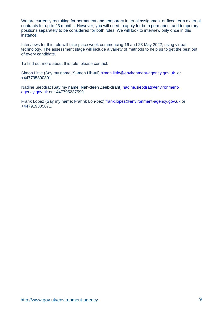We are currently recruiting for permanent and temporary internal assignment or fixed term external contracts for up to 23 months. However, you will need to apply for both permanent and temporary positions separately to be considered for both roles. We will look to interview only once in this instance.

Interviews for this role will take place week commencing 16 and 23 May 2022, using virtual technology. The assessment stage will include a variety of methods to help us to get the best out of every candidate.

To find out more about this role, please contact:

Simon Little (Say my name: Si-mon Lih-tul) [simon.little@environment-agency.gov.uk.](mailto:simon.little@environment-agency.gov.uk) or +447795390301

Nadine Siebdrat (Say my name: Nah-deen Zeeb-draht) [nadine.siebdrat@environment](mailto:nadine.siebdrat@environment-agency.gov.uk)[agency.gov.uk](mailto:nadine.siebdrat@environment-agency.gov.uk) or +447795237599

Frank Lopez (Say my name: Frahnk Loh-pez) [frank.lopez@environment-agency.gov.uk](mailto:frank.lopez@environment-agency.gov.uk) or +447919305671.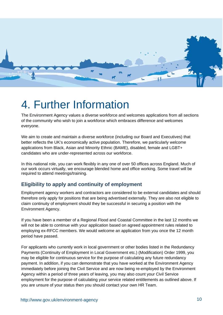

# 4. Further Information

The Environment Agency values a diverse workforce and welcomes applications from all sections of the community who wish to join a workforce which embraces difference and welcomes everyone.

We aim to create and maintain a diverse workforce (including our Board and Executives) that better reflects the UK's economically active population. Therefore, we particularly welcome applications from Black, Asian and Minority Ethnic (BAME), disabled, female and LGBT+ candidates who are under-represented across our workforce.

In this national role, you can work flexibly in any one of over 50 offices across England. Much of our work occurs virtually, we encourage blended home and office working. Some travel will be required to attend meetings/training.

## **Eligibility to apply and continuity of employment**

Employment agency workers and contractors are considered to be external candidates and should therefore only apply for positions that are being advertised externally. They are also not eligible to claim continuity of employment should they be successful in securing a position with the Environment Agency.

If you have been a member of a Regional Flood and Coastal Committee in the last 12 months we will not be able to continue with your application based on agreed appointment rules related to employing ex-RFCC members. We would welcome an application from you once the 12 month period have passed.

For applicants who currently work in local government or other bodies listed in the Redundancy Payments (Continuity of Employment in Local Government etc.) (Modification) Order 1999, you may be eligible for continuous service for the purpose of calculating any future redundancy payment. In addition, if you can demonstrate that you have worked at the Environment Agency immediately before joining the Civil Service and are now being re-employed by the Environment Agency within a period of three years of leaving, you may also count your Civil Service employment for the purpose of calculating your service related entitlements as outlined above. If you are unsure of your status then you should contact your own HR Team.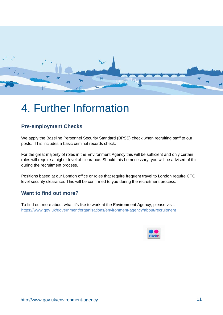

# 4. Further Information

## **Pre-employment Checks**

We apply the Baseline Personnel Security Standard (BPSS) check when recruiting staff to our posts. This includes a basic criminal records check.

For the great majority of roles in the Environment Agency this will be sufficient and only certain roles will require a higher level of clearance. Should this be necessary, you will be advised of this during the recruitment process.

Positions based at our London office or roles that require frequent travel to London require CTC level security clearance. This will be confirmed to you during the recruitment process.

### **Want to find out more?**

To find out more about what it's like to work at the Environment Agency, please visit: <https://www.gov.uk/government/organisations/environment-agency/about/recruitment>

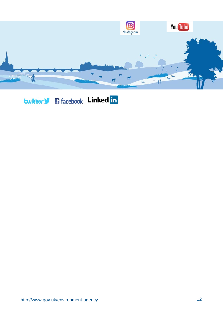

twitter S Fi facebook Linked in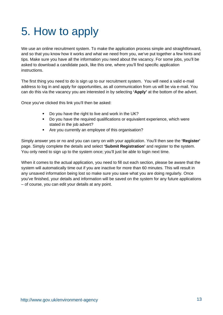# 5. How to apply

We use an online recruitment system. To make the application process simple and straightforward, and so that you know how it works and what we need from you, we've put together a few hints and tips. Make sure you have all the information you need about the vacancy. For some jobs, you'll be asked to download a candidate pack, like this one, where you'll find specific application instructions.

The first thing you need to do is sign up to our recruitment system. You will need a valid e-mail address to log in and apply for opportunities, as all communication from us will be via e-mail. You can do this via the vacancy you are interested in by selecting **'Apply'** at the bottom of the advert.

Once you've clicked this link you'll then be asked:

- Do you have the right to live and work in the UK?
- Do you have the required qualifications or equivalent experience, which were stated in the job advert?
- Are you currently an employee of this organisation?

Simply answer yes or no and you can carry on with your application. You'll then see the **'Register'** page. Simply complete the details and select **'Submit Registration'** and register to the system. You only need to sign up to the system once; you'll just be able to login next time.

When it comes to the actual application, you need to fill out each section, please be aware that the system will automatically time out if you are inactive for more than 60 minutes. This will result in any unsaved information being lost so make sure you save what you are doing regularly. Once you've finished, your details and information will be saved on the system for any future applications – of course, you can edit your details at any point.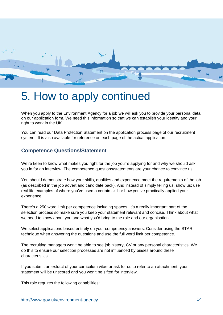

## 5. How to apply continued

When you apply to the Environment Agency for a job we will ask you to provide your personal data on our application form. We need this information so that we can establish your identity and your right to work in the UK.

You can read our Data Protection Statement on the application process page of our recruitment system. It is also available for reference on each page of the actual application.

## **Competence Questions/Statement**

We're keen to know what makes you right for the job you're applying for and why we should ask you in for an interview. The competence questions/statements are your chance to convince us!

You should demonstrate how your skills, qualities and experience meet the requirements of the job (as described in the job advert and candidate pack). And instead of simply telling us, show us: use real life examples of where you've used a certain skill or how you've practically applied your experience.

There's a 250 word limit per competence including spaces. It's a really important part of the selection process so make sure you keep your statement relevant and concise. Think about what we need to know about you and what you'd bring to the role and our organisation.

We select applications based entirely on your competency answers. Consider using the STAR technique when answering the questions and use the full word limit per competence.

The recruiting managers won't be able to see job history, CV or any personal characteristics. We do this to ensure our selection processes are not influenced by biases around these characteristics.

If you submit an extract of your curriculum vitae or ask for us to refer to an attachment, your statement will be unscored and you won't be sifted for interview.

This role requires the following capabilities: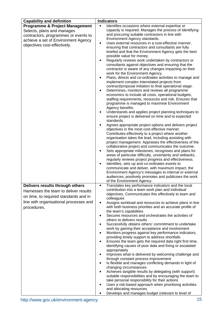| <b>Capability and definition</b>                                                                                                                                                       | <b>Indicators</b>                                                                                                                                                                                                                                                                                                                                                                                                                                                                                                                                                                                                                                                                                                                                                                                                                                                                                                                                                                                                                                                                                                                                                                                                                                                                                                                                                                                                                                                                                                                                                                                                                                                                                                                                                                                |
|----------------------------------------------------------------------------------------------------------------------------------------------------------------------------------------|--------------------------------------------------------------------------------------------------------------------------------------------------------------------------------------------------------------------------------------------------------------------------------------------------------------------------------------------------------------------------------------------------------------------------------------------------------------------------------------------------------------------------------------------------------------------------------------------------------------------------------------------------------------------------------------------------------------------------------------------------------------------------------------------------------------------------------------------------------------------------------------------------------------------------------------------------------------------------------------------------------------------------------------------------------------------------------------------------------------------------------------------------------------------------------------------------------------------------------------------------------------------------------------------------------------------------------------------------------------------------------------------------------------------------------------------------------------------------------------------------------------------------------------------------------------------------------------------------------------------------------------------------------------------------------------------------------------------------------------------------------------------------------------------------|
| <b>Programme &amp; Project Management</b><br>Selects, plans and manages<br>contractors, programmes or events to<br>achieve a set of Environment Agency<br>objectives cost-effectively. | Identifies occasions where external expertise or<br>capacity is required. Manages the process of identifying<br>and procuring suitable contractors in line with<br>Environment Agency standards.<br>Uses external resources in a cost-effective manner,<br>ensuring that contractors and consultants are fully<br>briefed and that the Environment Agency gets the best<br>possible value for money.<br>Regularly reviews work undertaken by contractors or<br>٠<br>consultants against objectives and ensuring that the<br>contractor is aware of any changes impacting on their<br>work for the Environment Agency.<br>Plans, directs and co-ordinates activities to manage and<br>٠<br>implement complex interrelated projects from<br>contract/proposal initiation to final operational stage.<br>Determines, monitors and reviews all programme<br>٠<br>economics to include all costs, operational budgets,<br>staffing requirements, resources and risk. Ensures that<br>programme is managed to maximise Environment<br>Agency benefits.<br>Understands and applies project planning techniques to<br>$\bullet$<br>ensure project is delivered on time and to expected<br>standards.<br>Agrees appropriate project options and delivers project<br>$\bullet$<br>objectives in the most cost effective manner.<br>Contributes effectively to a project where another<br>organisation takes the lead, including assisting with<br>project management. Appraises the effectiveness of the<br>collaborative project and communicates the outcome.<br>Sets appropriate milestones; recognises and plans for<br>٠<br>areas of particular difficulty, uncertainty and setbacks,<br>regularly reviews project progress and effectiveness.<br>Identifies, sets up and co-ordinates events to<br>٠ |
| Delivers results through others<br>Harnesses the team to deliver results<br>on time, to required standards and in<br>line with organisational processes and<br>procedures.             | communicate and deliver, with maximum impact, the<br>Environment Agency's messages to internal or external<br>audiences, positively promotes and publicises the work<br>of the Environment Agency.<br>Translates key performance indicators and the local<br>contribution into a team work plan and individual<br>objectives. Communicates this effectively to team and<br>colleagues<br>Assigns workload and resources to achieve plans in line<br>٠<br>with both business priorities and an accurate profile of<br>the team's capabilities<br>Secures resources and orchestrates the activities of<br>٠<br>others to delivers results<br>Successfully obtains others' commitment to undertake<br>$\bullet$<br>work by gaining their acceptance and involvement<br>Monitors progress against key performance indicators,<br>$\bullet$<br>providing timely support to address shortfalls<br>Ensures the team gets the required data right first time,<br>٠                                                                                                                                                                                                                                                                                                                                                                                                                                                                                                                                                                                                                                                                                                                                                                                                                                       |
|                                                                                                                                                                                        | identifying causes of poor data and fixing or escalated<br>appropriately<br>Improves what is delivered by welcoming challenge and<br>٠<br>through constant process improvement<br>Is flexible and manages conflicting demands in light of<br>٠<br>changing circumstances<br>Achieves tangible results by delegating (with support)<br>٠<br>suitable responsibilities and by encouraging the team to<br>take personal responsibility for their actions<br>Uses a risk-based approach when prioritising activities<br>٠<br>and allocating resources<br>Develops and manages budget (relevant to level of                                                                                                                                                                                                                                                                                                                                                                                                                                                                                                                                                                                                                                                                                                                                                                                                                                                                                                                                                                                                                                                                                                                                                                                           |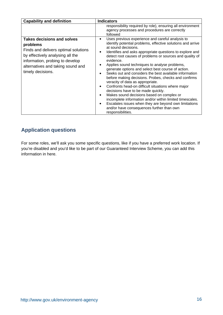| <b>Capability and definition</b>                                                                                                                                                                                       | <b>Indicators</b>                                                                                                                                                                                                                                                                                                                                                                                                                                                                                                                                                                                                                                                                                                                                                                                                                                                        |
|------------------------------------------------------------------------------------------------------------------------------------------------------------------------------------------------------------------------|--------------------------------------------------------------------------------------------------------------------------------------------------------------------------------------------------------------------------------------------------------------------------------------------------------------------------------------------------------------------------------------------------------------------------------------------------------------------------------------------------------------------------------------------------------------------------------------------------------------------------------------------------------------------------------------------------------------------------------------------------------------------------------------------------------------------------------------------------------------------------|
|                                                                                                                                                                                                                        | responsibility required by role), ensuring all environment<br>agency processes and procedures are correctly<br>followed                                                                                                                                                                                                                                                                                                                                                                                                                                                                                                                                                                                                                                                                                                                                                  |
| <b>Takes decisions and solves</b><br>problems<br>Finds and delivers optimal solutions<br>by effectively analysing all the<br>information, probing to develop<br>alternatives and taking sound and<br>timely decisions. | Uses previous experience and careful analysis to<br>identify potential problems, effective solutions and arrive<br>at sound decisions.<br>Identifies and asks appropriate questions to explore and<br>detect root causes of problems or sources and quality of<br>evidence.<br>Applies sound techniques to analyse problems,<br>generate options and select best course of action.<br>Seeks out and considers the best available information<br>before making decisions. Probes, checks and confirms<br>veracity of data as appropriate.<br>Confronts head-on difficult situations where major<br>decisions have to be made quickly.<br>Makes sound decisions based on complex or<br>incomplete information and/or within limited timescales.<br>Escalates issues when they are beyond own limitations<br>and/or have consequences further than own<br>responsibilities. |

## **Application questions**

For some roles, we'll ask you some specific questions, like if you have a preferred work location. If you're disabled and you'd like to be part of our Guaranteed Interview Scheme, you can add this information in here.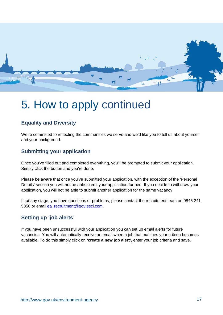

# 5. How to apply continued

## **Equality and Diversity**

We're committed to reflecting the communities we serve and we'd like you to tell us about yourself and your background.

## **Submitting your application**

Once you've filled out and completed everything, you'll be prompted to submit your application. Simply click the button and you're done.

Please be aware that once you've submitted your application, with the exception of the 'Personal Details' section you will not be able to edit your application further. If you decide to withdraw your application, you will not be able to submit another application for the same vacancy.

If, at any stage, you have questions or problems, please contact the recruitment team on 0845 241 5350 or email [ea\\_recruitment@gov.sscl.com](mailto:ea_recruitment@gov.sscl.com)

## **Setting up 'job alerts'**

If you have been unsuccessful with your application you can set up email alerts for future vacancies. You will automatically receive an email when a job that matches your criteria becomes available. To do this simply click on **'create a new job alert'**, enter your job criteria and save.